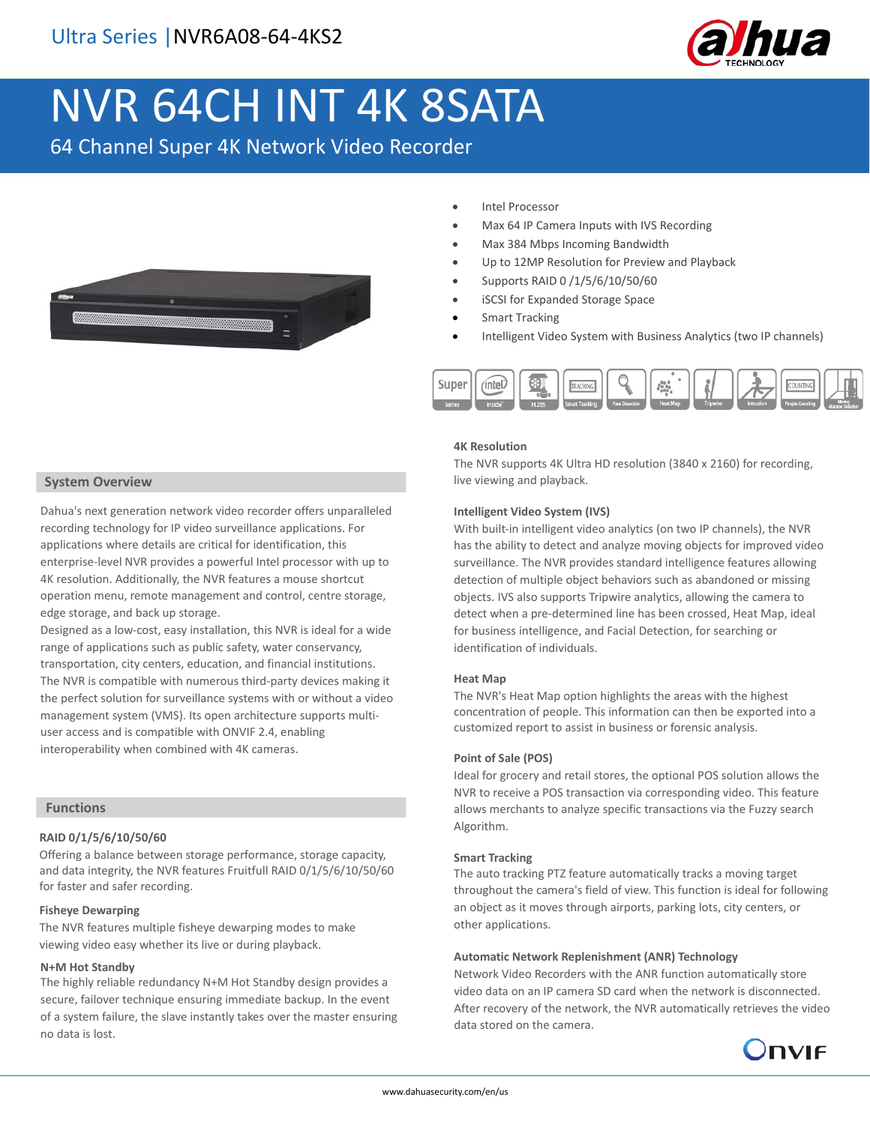

# NVR 64CH INT 4K 8SATA

64 Channel Super 4K Network Video Recorder



- Intel Processor
- Max 64 IP Camera Inputs with IVS Recording
- Max 384 Mbps Incoming Bandwidth
- Up to 12MP Resolution for Preview and Playback
- Supports RAID 0 /1/5/6/10/50/60
- iSCSI for Expanded Storage Space
- Smart Tracking
- Intelligent Video System with Business Analytics (two IP channels)



#### **4K Resolution**

The NVR supports 4K Ultra HD resolution (3840 x 2160) for recording, live viewing and playback.

#### **Intelligent Video System (IVS)**

With built-in intelligent video analytics (on two IP channels), the NVR has the ability to detect and analyze moving objects for improved video surveillance. The NVR provides standard intelligence features allowing detection of multiple object behaviors such as abandoned or missing objects. IVS also supports Tripwire analytics, allowing the camera to detect when a pre-determined line has been crossed, Heat Map, ideal for business intelligence, and Facial Detection, for searching or identification of individuals.

#### **Heat Map**

The NVR's Heat Map option highlights the areas with the highest concentration of people. This information can then be exported into a customized report to assist in business or forensic analysis.

#### **Point of Sale (POS)**

Ideal for grocery and retail stores, the optional POS solution allows the NVR to receive a POS transaction via corresponding video. This feature allows merchants to analyze specific transactions via the Fuzzy search Algorithm.

#### **Smart Tracking**

The auto tracking PTZ feature automatically tracks a moving target throughout the camera's field of view. This function is ideal for following an object as it moves through airports, parking lots, city centers, or other applications.

#### **Automatic Network Replenishment (ANR) Technology**

Network Video Recorders with the ANR function automatically store video data on an IP camera SD card when the network is disconnected. After recovery of the network, the NVR automatically retrieves the video data stored on the camera.



#### **System Overview**

Dahua's next generation network video recorder offers unparalleled recording technology for IP video surveillance applications. For applications where details are critical for identification, this enterprise-level NVR provides a powerful Intel processor with up to 4K resolution. Additionally, the NVR features a mouse shortcut operation menu, remote management and control, centre storage, edge storage, and back up storage.

Designed as a low-cost, easy installation, this NVR is ideal for a wide range of applications such as public safety, water conservancy, transportation, city centers, education, and financial institutions. The NVR is compatible with numerous third-party devices making it the perfect solution for surveillance systems with or without a video management system (VMS). Its open architecture supports multiuser access and is compatible with ONVIF 2.4, enabling interoperability when combined with 4K cameras.

### **Functions**

#### **RAID 0/1/5/6/10/50/60**

Offering a balance between storage performance, storage capacity, and data integrity, the NVR features Fruitfull RAID 0/1/5/6/10/50/60 for faster and safer recording.

#### **Fisheye Dewarping**

The NVR features multiple fisheye dewarping modes to make viewing video easy whether its live or during playback.

#### **N+M Hot Standby**

The highly reliable redundancy N+M Hot Standby design provides a secure, failover technique ensuring immediate backup. In the event of a system failure, the slave instantly takes over the master ensuring no data is lost.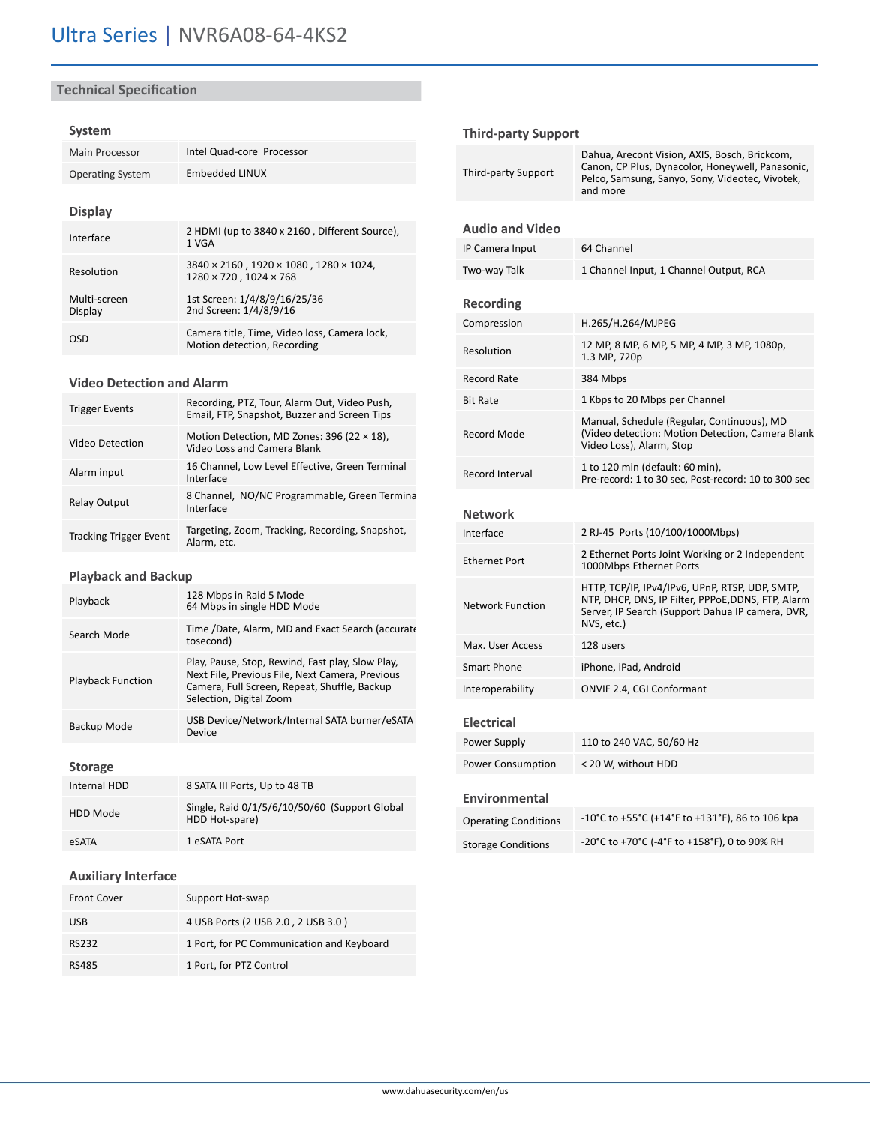# **Technical Specification**

#### **System**

| Intel Quad-core Processor                                                                               |  |
|---------------------------------------------------------------------------------------------------------|--|
| Embedded LINUX                                                                                          |  |
|                                                                                                         |  |
|                                                                                                         |  |
| 2 HDMI (up to 3840 x 2160, Different Source),<br>1 VGA                                                  |  |
| $3840 \times 2160$ , $1920 \times 1080$ , $1280 \times 1024$ ,<br>$1280 \times 720$ . $1024 \times 768$ |  |
| 1st Screen: 1/4/8/9/16/25/36<br>2nd Screen: 1/4/8/9/16                                                  |  |
| Camera title, Time, Video loss, Camera lock,<br>Motion detection, Recording                             |  |
|                                                                                                         |  |

#### **Video Detection and Alarm**

| <b>Trigger Events</b>         | Recording, PTZ, Tour, Alarm Out, Video Push,<br>Email, FTP, Snapshot, Buzzer and Screen Tips |
|-------------------------------|----------------------------------------------------------------------------------------------|
| Video Detection               | Motion Detection, MD Zones: 396 (22 $\times$ 18),<br>Video Loss and Camera Blank             |
| Alarm input                   | 16 Channel, Low Level Effective, Green Terminal<br>Interface                                 |
| <b>Relay Output</b>           | 8 Channel, NO/NC Programmable, Green Termina<br>Interface                                    |
| <b>Tracking Trigger Event</b> | Targeting, Zoom, Tracking, Recording, Snapshot,<br>Alarm. etc.                               |

#### **Playback and Backup**

| Playback                 | 128 Mbps in Raid 5 Mode<br>64 Mbps in single HDD Mode                                                                                                                          |
|--------------------------|--------------------------------------------------------------------------------------------------------------------------------------------------------------------------------|
| Search Mode              | Time /Date, Alarm, MD and Exact Search (accurate<br>tosecond)                                                                                                                  |
| <b>Playback Function</b> | Play, Pause, Stop, Rewind, Fast play, Slow Play,<br>Next File, Previous File, Next Camera, Previous<br>Camera, Full Screen, Repeat, Shuffle, Backup<br>Selection, Digital Zoom |
| Backup Mode              | USB Device/Network/Internal SATA burner/eSATA<br>Device                                                                                                                        |

#### **Storage**

| Internal HDD    | 8 SATA III Ports, Up to 48 TB                                   |
|-----------------|-----------------------------------------------------------------|
| <b>HDD Mode</b> | Single, Raid 0/1/5/6/10/50/60 (Support Global<br>HDD Hot-spare) |
| eSATA           | 1 eSATA Port                                                    |

## **Auxiliary Interface**

| <b>Front Cover</b> | Support Hot-swap                          |
|--------------------|-------------------------------------------|
| <b>USB</b>         | 4 USB Ports (2 USB 2.0, 2 USB 3.0)        |
| RS232              | 1 Port, for PC Communication and Keyboard |
| RS485              | 1 Port, for PTZ Control                   |

#### **Third-party Support**

| <b>Third-party Support</b>  | Dahua, Arecont Vision, AXIS, Bosch, Brickcom,<br>Canon, CP Plus, Dynacolor, Honeywell, Panasonic,<br>Pelco, Samsung, Sanyo, Sony, Videotec, Vivotek,<br>and more       |  |
|-----------------------------|------------------------------------------------------------------------------------------------------------------------------------------------------------------------|--|
| <b>Audio and Video</b>      |                                                                                                                                                                        |  |
| IP Camera Input             | 64 Channel                                                                                                                                                             |  |
| Two-way Talk                | 1 Channel Input, 1 Channel Output, RCA                                                                                                                                 |  |
|                             |                                                                                                                                                                        |  |
| Recording                   |                                                                                                                                                                        |  |
| Compression                 | H.265/H.264/MJPEG                                                                                                                                                      |  |
| Resolution                  | 12 MP, 8 MP, 6 MP, 5 MP, 4 MP, 3 MP, 1080p,<br>1.3 MP, 720p                                                                                                            |  |
| <b>Record Rate</b>          | 384 Mbps                                                                                                                                                               |  |
| <b>Bit Rate</b>             | 1 Kbps to 20 Mbps per Channel                                                                                                                                          |  |
| <b>Record Mode</b>          | Manual, Schedule (Regular, Continuous), MD<br>(Video detection: Motion Detection, Camera Blank<br>Video Loss), Alarm, Stop                                             |  |
| Record Interval             | 1 to 120 min (default: 60 min),<br>Pre-record: 1 to 30 sec, Post-record: 10 to 300 sec                                                                                 |  |
| <b>Network</b>              |                                                                                                                                                                        |  |
| Interface                   |                                                                                                                                                                        |  |
|                             | 2 RJ-45 Ports (10/100/1000Mbps)                                                                                                                                        |  |
| <b>Ethernet Port</b>        | 2 Ethernet Ports Joint Working or 2 Independent<br>1000Mbps Ethernet Ports                                                                                             |  |
| <b>Network Function</b>     | HTTP, TCP/IP, IPv4/IPv6, UPnP, RTSP, UDP, SMTP,<br>NTP, DHCP, DNS, IP Filter, PPPoE,DDNS, FTP, Alarm<br>Server, IP Search (Support Dahua IP camera, DVR,<br>NVS, etc.) |  |
| Max. User Access            | 128 users                                                                                                                                                              |  |
| <b>Smart Phone</b>          | iPhone, iPad, Android                                                                                                                                                  |  |
| Interoperability            | ONVIF 2.4, CGI Conformant                                                                                                                                              |  |
| <b>Electrical</b>           |                                                                                                                                                                        |  |
| Power Supply                | 110 to 240 VAC, 50/60 Hz                                                                                                                                               |  |
| <b>Power Consumption</b>    | < 20 W, without HDD                                                                                                                                                    |  |
| <b>Environmental</b>        |                                                                                                                                                                        |  |
| <b>Operating Conditions</b> | -10°C to +55°C (+14°F to +131°F), 86 to 106 kpa                                                                                                                        |  |